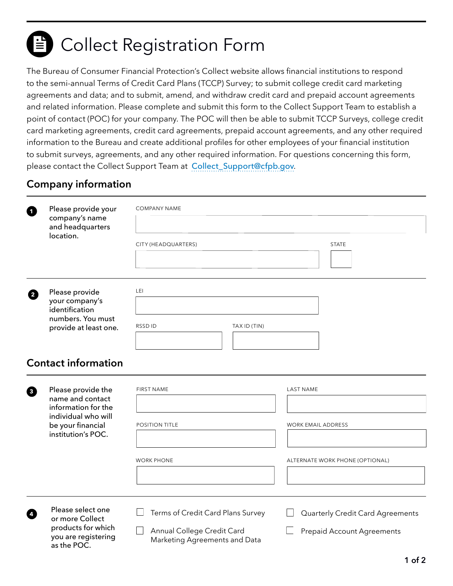# E Collect Registration Form

The Bureau of Consumer Financial Protection's Collect website allows financial institutions to respond to the semi-annual Terms of Credit Card Plans (TCCP) Survey; to submit college credit card marketing agreements and data; and to submit, amend, and withdraw credit card and prepaid account agreements and related information. Please complete and submit this form to the Collect Support Team to establish a point of contact (POC) for your company. The POC will then be able to submit TCCP Surveys, college credit card marketing agreements, credit card agreements, prepaid account agreements, and any other required information to the Bureau and create additional profiles for other employees of your financial institution to submit surveys, agreements, and any other required information. For questions concerning this form, please contact the Collect Support Team at [Collect\\_Support@cfpb.gov](mailto:Collect_Support%40cfpb.gov?subject=Collect%20Registration%20Form).

# **Company information**

| 0                          | Please provide your<br>company's name<br>and headquarters<br>location.      | <b>COMPANY NAME</b>                                         |                                         |
|----------------------------|-----------------------------------------------------------------------------|-------------------------------------------------------------|-----------------------------------------|
|                            |                                                                             |                                                             |                                         |
|                            |                                                                             | CITY (HEADQUARTERS)                                         | <b>STATE</b>                            |
|                            |                                                                             |                                                             |                                         |
| 0                          | Please provide                                                              | LEI                                                         |                                         |
|                            | your company's<br>identification                                            |                                                             |                                         |
|                            | numbers. You must<br>provide at least one.                                  | RSSD ID<br>TAX ID (TIN)                                     |                                         |
|                            |                                                                             |                                                             |                                         |
| <b>Contact information</b> |                                                                             |                                                             |                                         |
| ❸                          | Please provide the                                                          | <b>FIRST NAME</b>                                           | <b>LAST NAME</b>                        |
|                            | name and contact<br>information for the                                     |                                                             |                                         |
|                            | individual who will<br>be your financial                                    | <b>POSITION TITLE</b>                                       | <b>WORK EMAIL ADDRESS</b>               |
|                            | institution's POC.                                                          |                                                             |                                         |
|                            |                                                                             | <b>WORK PHONE</b>                                           | ALTERNATE WORK PHONE (OPTIONAL)         |
|                            |                                                                             |                                                             |                                         |
| Ø                          | Please select one                                                           | Terms of Credit Card Plans Survey                           | <b>Quarterly Credit Card Agreements</b> |
|                            | or more Collect<br>products for which<br>you are registering<br>as the POC. | Annual College Credit Card<br>Marketing Agreements and Data | <b>Prepaid Account Agreements</b>       |